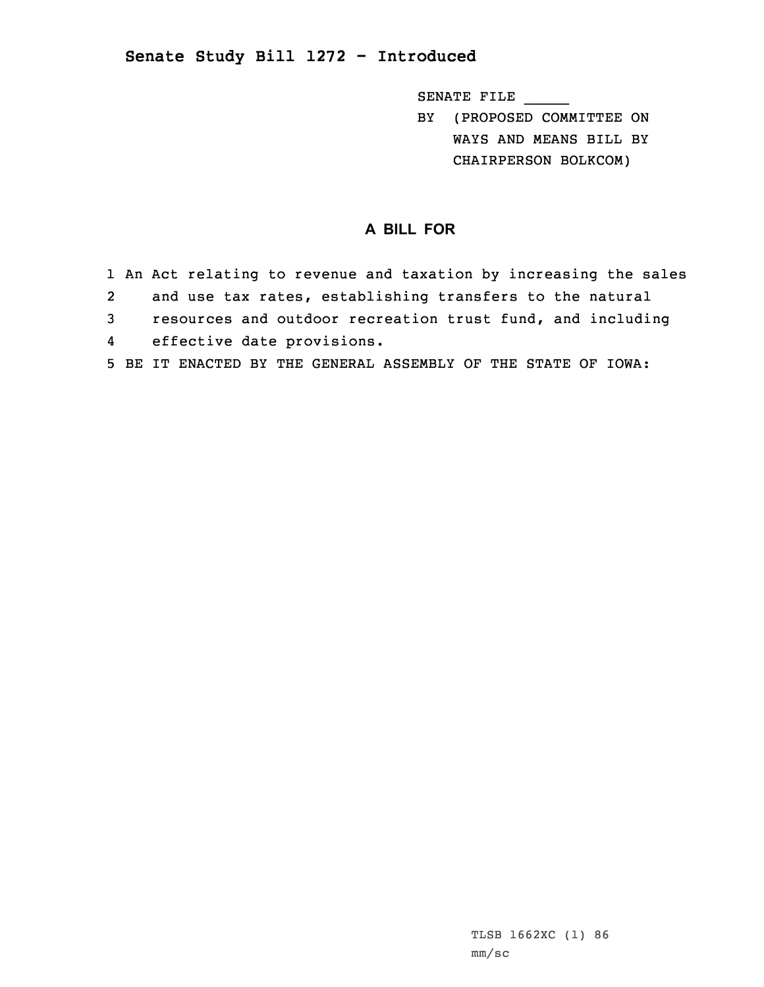## **Senate Study Bill 1272 - Introduced**

SENATE FILE \_\_\_\_\_

BY (PROPOSED COMMITTEE ON WAYS AND MEANS BILL BY CHAIRPERSON BOLKCOM)

## **A BILL FOR**

1 An Act relating to revenue and taxation by increasing the sales 2 and use tax rates, establishing transfers to the natural 3 resources and outdoor recreation trust fund, and including 4 effective date provisions. 5 BE IT ENACTED BY THE GENERAL ASSEMBLY OF THE STATE OF IOWA: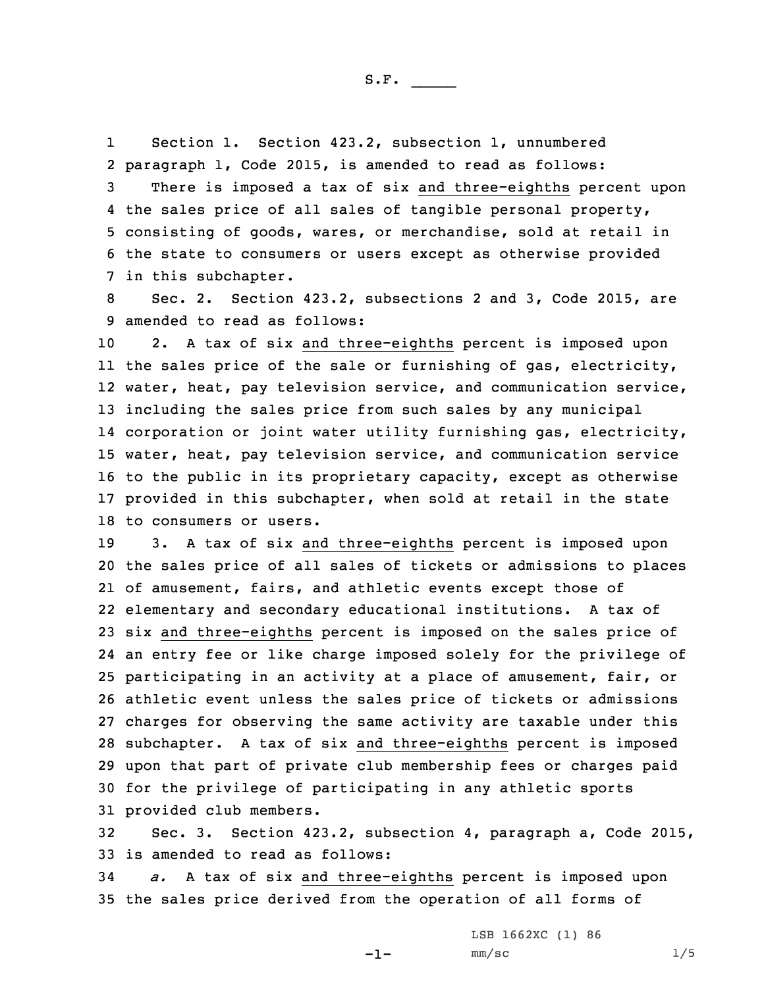S.F.  $\rule{1em}{0.15mm}$ 

1 Section 1. Section 423.2, subsection 1, unnumbered 2 paragraph 1, Code 2015, is amended to read as follows:

 There is imposed <sup>a</sup> tax of six and three-eighths percent upon the sales price of all sales of tangible personal property, consisting of goods, wares, or merchandise, sold at retail in the state to consumers or users except as otherwise provided in this subchapter.

8 Sec. 2. Section 423.2, subsections 2 and 3, Code 2015, are 9 amended to read as follows:

 2. <sup>A</sup> tax of six and three-eighths percent is imposed upon the sales price of the sale or furnishing of gas, electricity, water, heat, pay television service, and communication service, including the sales price from such sales by any municipal corporation or joint water utility furnishing gas, electricity, water, heat, pay television service, and communication service to the public in its proprietary capacity, except as otherwise provided in this subchapter, when sold at retail in the state to consumers or users.

 3. <sup>A</sup> tax of six and three-eighths percent is imposed upon the sales price of all sales of tickets or admissions to places of amusement, fairs, and athletic events except those of elementary and secondary educational institutions. <sup>A</sup> tax of six and three-eighths percent is imposed on the sales price of an entry fee or like charge imposed solely for the privilege of participating in an activity at <sup>a</sup> place of amusement, fair, or athletic event unless the sales price of tickets or admissions charges for observing the same activity are taxable under this subchapter. <sup>A</sup> tax of six and three-eighths percent is imposed upon that part of private club membership fees or charges paid for the privilege of participating in any athletic sports provided club members.

32 Sec. 3. Section 423.2, subsection 4, paragraph a, Code 2015, 33 is amended to read as follows:

34 *a.* <sup>A</sup> tax of six and three-eighths percent is imposed upon 35 the sales price derived from the operation of all forms of

-1-

LSB 1662XC (1) 86  $mm/sc$  1/5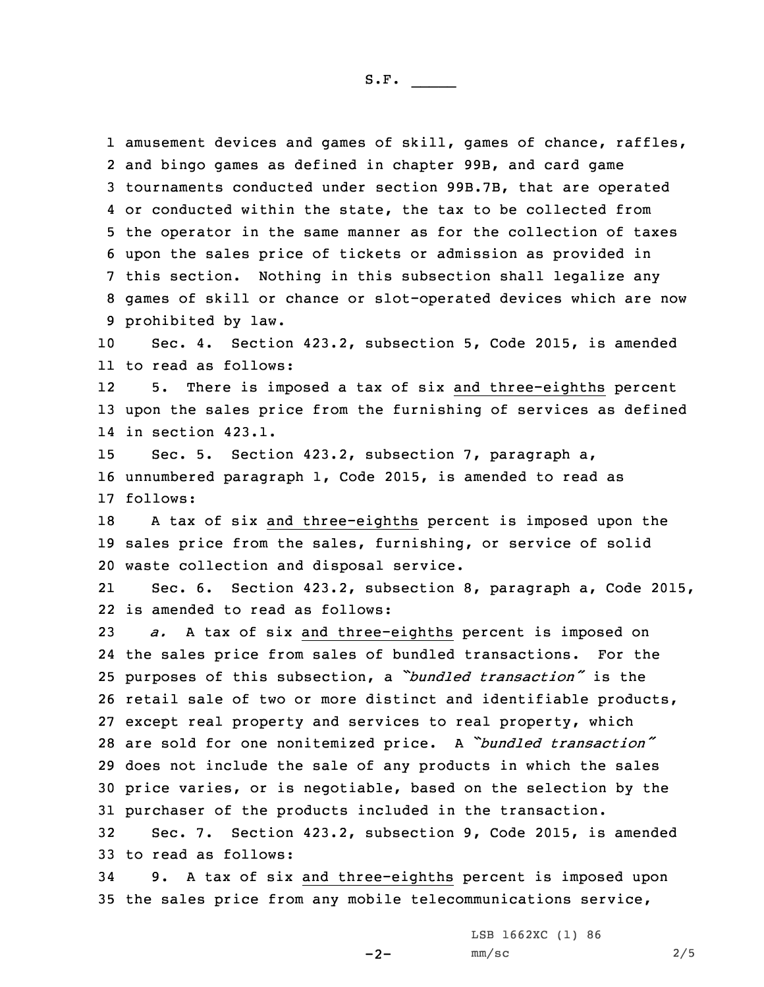1 amusement devices and games of skill, games of chance, raffles, and bingo games as defined in chapter 99B, and card game tournaments conducted under section 99B.7B, that are operated or conducted within the state, the tax to be collected from the operator in the same manner as for the collection of taxes upon the sales price of tickets or admission as provided in this section. Nothing in this subsection shall legalize any games of skill or chance or slot-operated devices which are now prohibited by law. Sec. 4. Section 423.2, subsection 5, Code 2015, is amended

11 to read as follows:

12 5. There is imposed <sup>a</sup> tax of six and three-eighths percent 13 upon the sales price from the furnishing of services as defined 14 in section 423.1.

15 Sec. 5. Section 423.2, subsection 7, paragraph a, 16 unnumbered paragraph 1, Code 2015, is amended to read as 17 follows:

18 <sup>A</sup> tax of six and three-eighths percent is imposed upon the 19 sales price from the sales, furnishing, or service of solid 20 waste collection and disposal service.

21 Sec. 6. Section 423.2, subsection 8, paragraph a, Code 2015, 22 is amended to read as follows:

 *a.* <sup>A</sup> tax of six and three-eighths percent is imposed on the sales price from sales of bundled transactions. For the purposes of this subsection, <sup>a</sup> *"bundled transaction"* is the retail sale of two or more distinct and identifiable products, except real property and services to real property, which are sold for one nonitemized price. <sup>A</sup> *"bundled transaction"* does not include the sale of any products in which the sales price varies, or is negotiable, based on the selection by the purchaser of the products included in the transaction.

32 Sec. 7. Section 423.2, subsection 9, Code 2015, is amended 33 to read as follows:

34 9. <sup>A</sup> tax of six and three-eighths percent is imposed upon 35 the sales price from any mobile telecommunications service,

LSB 1662XC (1) 86

 $-2-$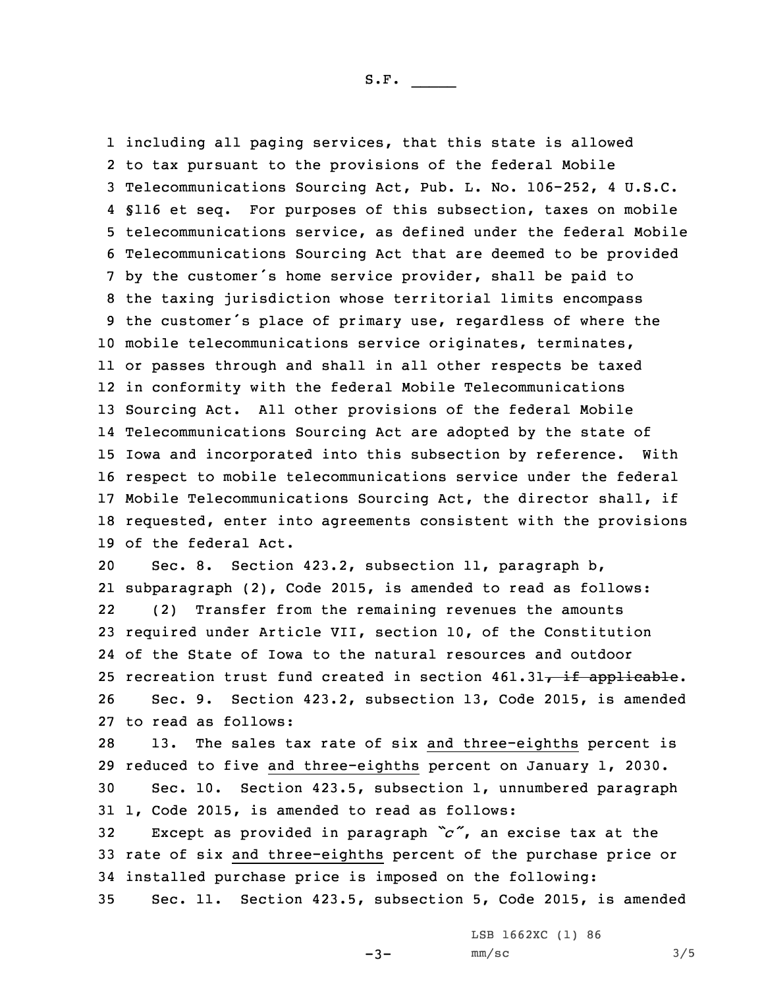including all paging services, that this state is allowed to tax pursuant to the provisions of the federal Mobile Telecommunications Sourcing Act, Pub. L. No. 106-252, 4 U.S.C. §116 et seq. For purposes of this subsection, taxes on mobile telecommunications service, as defined under the federal Mobile Telecommunications Sourcing Act that are deemed to be provided by the customer's home service provider, shall be paid to the taxing jurisdiction whose territorial limits encompass the customer's place of primary use, regardless of where the mobile telecommunications service originates, terminates, or passes through and shall in all other respects be taxed in conformity with the federal Mobile Telecommunications Sourcing Act. All other provisions of the federal Mobile Telecommunications Sourcing Act are adopted by the state of Iowa and incorporated into this subsection by reference. With respect to mobile telecommunications service under the federal Mobile Telecommunications Sourcing Act, the director shall, if requested, enter into agreements consistent with the provisions of the federal Act.

 Sec. 8. Section 423.2, subsection 11, paragraph b, subparagraph (2), Code 2015, is amended to read as follows: 22 (2) Transfer from the remaining revenues the amounts required under Article VII, section 10, of the Constitution of the State of Iowa to the natural resources and outdoor 25 recreation trust fund created in section  $461.31$ , if applicable. Sec. 9. Section 423.2, subsection 13, Code 2015, is amended to read as follows:

 13. The sales tax rate of six and three-eighths percent is reduced to five and three-eighths percent on January 1, 2030. Sec. 10. Section 423.5, subsection 1, unnumbered paragraph 1, Code 2015, is amended to read as follows:

<sup>32</sup> Except as provided in paragraph *"c"*, an excise tax at the 33 rate of six and three-eighths percent of the purchase price or 34 installed purchase price is imposed on the following:

35 Sec. 11. Section 423.5, subsection 5, Code 2015, is amended

 $-3-$ 

LSB 1662XC (1) 86  $mm/sc$  3/5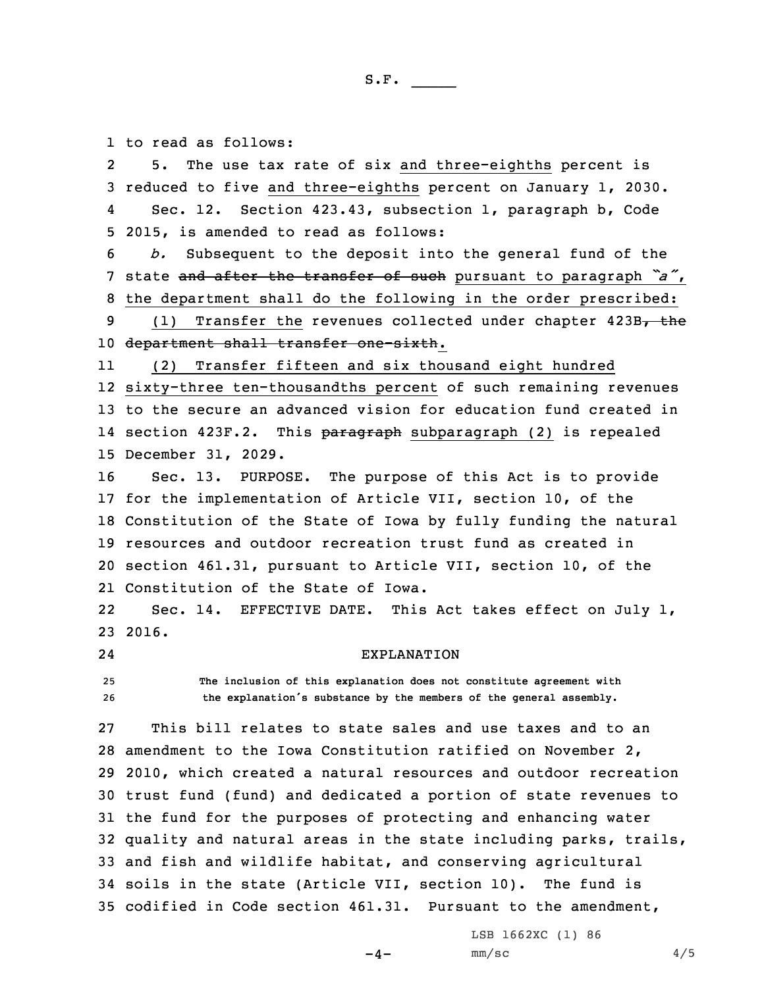1 to read as follows:

2 5. The use tax rate of six and three-eighths percent is reduced to five and three-eighths percent on January 1, 2030. 4 Sec. 12. Section 423.43, subsection 1, paragraph b, Code 2015, is amended to read as follows: *b.* Subsequent to the deposit into the general fund of the state and after the transfer of such pursuant to paragraph *"a"*, the department shall do the following in the order prescribed: 9 (1) Transfer the revenues collected under chapter 423B, the 10 department shall transfer one-sixth. 11 (2) Transfer fifteen and six thousand eight hundred sixty-three ten-thousandths percent of such remaining revenues to the secure an advanced vision for education fund created in 14 section 423F.2. This <del>paragraph</del> subparagraph (2) is repealed December 31, 2029. Sec. 13. PURPOSE. The purpose of this Act is to provide for the implementation of Article VII, section 10, of the Constitution of the State of Iowa by fully funding the natural resources and outdoor recreation trust fund as created in section 461.31, pursuant to Article VII, section 10, of the Constitution of the State of Iowa. 22 Sec. 14. EFFECTIVE DATE. This Act takes effect on July 1, 23 2016. 24 EXPLANATION **The inclusion of this explanation does not constitute agreement with the explanation's substance by the members of the general assembly.** This bill relates to state sales and use taxes and to an amendment to the Iowa Constitution ratified on November 2, 2010, which created <sup>a</sup> natural resources and outdoor recreation trust fund (fund) and dedicated <sup>a</sup> portion of state revenues to the fund for the purposes of protecting and enhancing water quality and natural areas in the state including parks, trails, and fish and wildlife habitat, and conserving agricultural soils in the state (Article VII, section 10). The fund is codified in Code section 461.31. Pursuant to the amendment,

 $-4-$ 

LSB 1662XC (1) 86  $mm/sc$  4/5